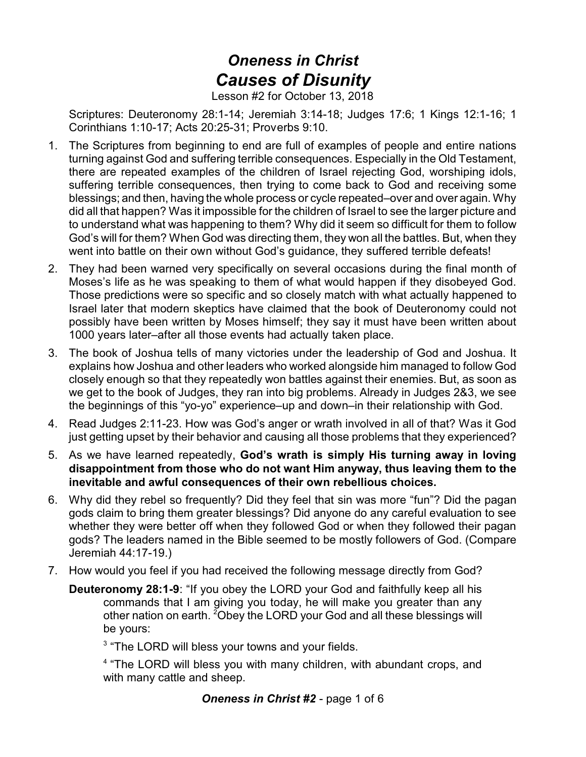## *Oneness in Christ Causes of Disunity*

Lesson #2 for October 13, 2018

Scriptures: Deuteronomy 28:1-14; Jeremiah 3:14-18; Judges 17:6; 1 Kings 12:1-16; 1 Corinthians 1:10-17; Acts 20:25-31; Proverbs 9:10.

- 1. The Scriptures from beginning to end are full of examples of people and entire nations turning against God and suffering terrible consequences. Especially in the Old Testament, there are repeated examples of the children of Israel rejecting God, worshiping idols, suffering terrible consequences, then trying to come back to God and receiving some blessings; and then, having the whole process or cycle repeated–over and over again. Why did all that happen? Was it impossible for the children of Israel to see the larger picture and to understand what was happening to them? Why did it seem so difficult for them to follow God's will for them? When God was directing them, they won all the battles. But, when they went into battle on their own without God's guidance, they suffered terrible defeats!
- 2. They had been warned very specifically on several occasions during the final month of Moses's life as he was speaking to them of what would happen if they disobeyed God. Those predictions were so specific and so closely match with what actually happened to Israel later that modern skeptics have claimed that the book of Deuteronomy could not possibly have been written by Moses himself; they say it must have been written about 1000 years later–after all those events had actually taken place.
- 3. The book of Joshua tells of many victories under the leadership of God and Joshua. It explains how Joshua and other leaders who worked alongside him managed to follow God closely enough so that they repeatedly won battles against their enemies. But, as soon as we get to the book of Judges, they ran into big problems. Already in Judges 2&3, we see the beginnings of this "yo-yo" experience–up and down–in their relationship with God.
- 4. Read Judges 2:11-23. How was God's anger or wrath involved in all of that? Was it God just getting upset by their behavior and causing all those problems that they experienced?
- 5. As we have learned repeatedly, **God's wrath is simply His turning away in loving disappointment from those who do not want Him anyway, thus leaving them to the inevitable and awful consequences of their own rebellious choices.**
- 6. Why did they rebel so frequently? Did they feel that sin was more "fun"? Did the pagan gods claim to bring them greater blessings? Did anyone do any careful evaluation to see whether they were better off when they followed God or when they followed their pagan gods? The leaders named in the Bible seemed to be mostly followers of God. (Compare Jeremiah 44:17-19.)
- 7. How would you feel if you had received the following message directly from God?
	- **Deuteronomy 28:1-9**: "If you obey the LORD your God and faithfully keep all his commands that I am giving you today, he will make you greater than any other nation on earth. <sup>2</sup>Obey the LORD your God and all these blessings will be yours:

<sup>3</sup> "The LORD will bless your towns and your fields.

<sup>4</sup> "The LORD will bless you with many children, with abundant crops, and with many cattle and sheep.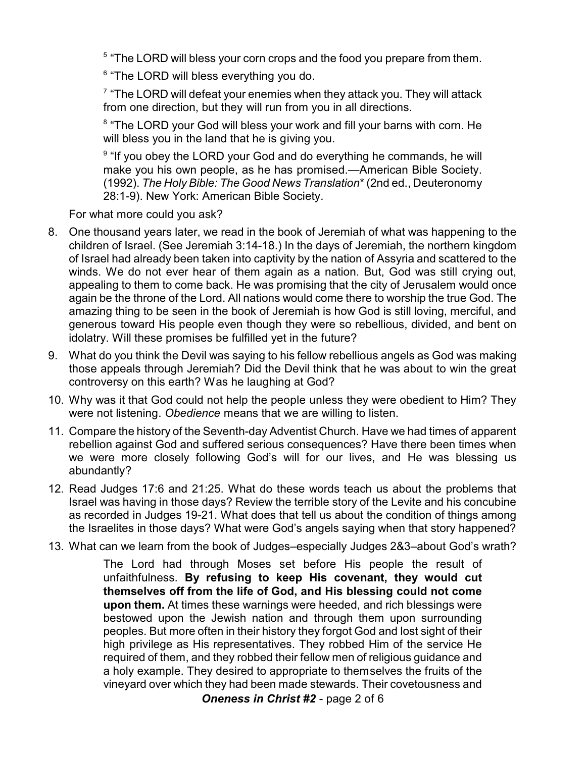<sup>5</sup> "The LORD will bless your corn crops and the food you prepare from them.

<sup>6</sup> "The LORD will bless everything you do.

 $^7$  "The LORD will defeat your enemies when they attack you. They will attack from one direction, but they will run from you in all directions.

<sup>8</sup> "The LORD your God will bless your work and fill your barns with corn. He will bless you in the land that he is giving you.

<sup>9</sup> "If you obey the LORD your God and do everything he commands, he will make you his own people, as he has promised.—American Bible Society. (1992). *The Holy Bible: The Good News Translation*\* (2nd ed., Deuteronomy 28:1-9). New York: American Bible Society*.*

For what more could you ask?

- 8. One thousand years later, we read in the book of Jeremiah of what was happening to the children of Israel. (See Jeremiah 3:14-18.) In the days of Jeremiah, the northern kingdom of Israel had already been taken into captivity by the nation of Assyria and scattered to the winds. We do not ever hear of them again as a nation. But, God was still crying out, appealing to them to come back. He was promising that the city of Jerusalem would once again be the throne of the Lord. All nations would come there to worship the true God. The amazing thing to be seen in the book of Jeremiah is how God is still loving, merciful, and generous toward His people even though they were so rebellious, divided, and bent on idolatry. Will these promises be fulfilled yet in the future?
- 9. What do you think the Devil was saying to his fellow rebellious angels as God was making those appeals through Jeremiah? Did the Devil think that he was about to win the great controversy on this earth? Was he laughing at God?
- 10. Why was it that God could not help the people unless they were obedient to Him? They were not listening. *Obedience* means that we are willing to listen.
- 11. Compare the history of the Seventh-day Adventist Church. Have we had times of apparent rebellion against God and suffered serious consequences? Have there been times when we were more closely following God's will for our lives, and He was blessing us abundantly?
- 12. Read Judges 17:6 and 21:25. What do these words teach us about the problems that Israel was having in those days? Review the terrible story of the Levite and his concubine as recorded in Judges 19-21. What does that tell us about the condition of things among the Israelites in those days? What were God's angels saying when that story happened?
- 13. What can we learn from the book of Judges–especially Judges 2&3–about God's wrath?

The Lord had through Moses set before His people the result of unfaithfulness. **By refusing to keep His covenant, they would cut themselves off from the life of God, and His blessing could not come upon them.** At times these warnings were heeded, and rich blessings were bestowed upon the Jewish nation and through them upon surrounding peoples. But more often in their history they forgot God and lost sight of their high privilege as His representatives. They robbed Him of the service He required of them, and they robbed their fellow men of religious guidance and a holy example. They desired to appropriate to themselves the fruits of the vineyard over which they had been made stewards. Their covetousness and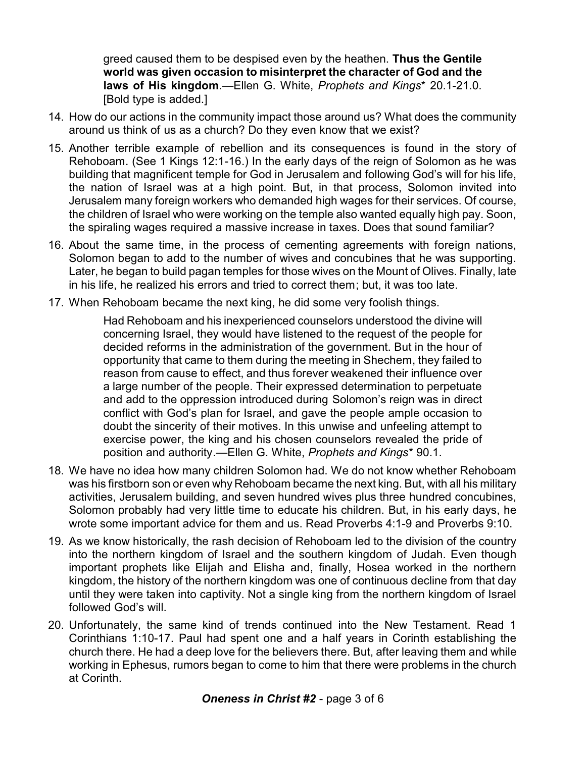greed caused them to be despised even by the heathen. **Thus the Gentile world was given occasion to misinterpret the character of God and the laws of His kingdom**.—Ellen G. White, *Prophets and Kings*\* 20.1-21.0. [Bold type is added.]

- 14. How do our actions in the community impact those around us? What does the community around us think of us as a church? Do they even know that we exist?
- 15. Another terrible example of rebellion and its consequences is found in the story of Rehoboam. (See 1 Kings 12:1-16.) In the early days of the reign of Solomon as he was building that magnificent temple for God in Jerusalem and following God's will for his life, the nation of Israel was at a high point. But, in that process, Solomon invited into Jerusalem many foreign workers who demanded high wages for their services. Of course, the children of Israel who were working on the temple also wanted equally high pay. Soon, the spiraling wages required a massive increase in taxes. Does that sound familiar?
- 16. About the same time, in the process of cementing agreements with foreign nations, Solomon began to add to the number of wives and concubines that he was supporting. Later, he began to build pagan temples for those wives on the Mount of Olives. Finally, late in his life, he realized his errors and tried to correct them; but, it was too late.
- 17. When Rehoboam became the next king, he did some very foolish things.

Had Rehoboam and his inexperienced counselors understood the divine will concerning Israel, they would have listened to the request of the people for decided reforms in the administration of the government. But in the hour of opportunity that came to them during the meeting in Shechem, they failed to reason from cause to effect, and thus forever weakened their influence over a large number of the people. Their expressed determination to perpetuate and add to the oppression introduced during Solomon's reign was in direct conflict with God's plan for Israel, and gave the people ample occasion to doubt the sincerity of their motives. In this unwise and unfeeling attempt to exercise power, the king and his chosen counselors revealed the pride of position and authority.—Ellen G. White, *Prophets and Kings*\* 90.1.

- 18. We have no idea how many children Solomon had. We do not know whether Rehoboam was his firstborn son or even why Rehoboam became the next king. But, with all his military activities, Jerusalem building, and seven hundred wives plus three hundred concubines, Solomon probably had very little time to educate his children. But, in his early days, he wrote some important advice for them and us. Read Proverbs 4:1-9 and Proverbs 9:10.
- 19. As we know historically, the rash decision of Rehoboam led to the division of the country into the northern kingdom of Israel and the southern kingdom of Judah. Even though important prophets like Elijah and Elisha and, finally, Hosea worked in the northern kingdom, the history of the northern kingdom was one of continuous decline from that day until they were taken into captivity. Not a single king from the northern kingdom of Israel followed God's will.
- 20. Unfortunately, the same kind of trends continued into the New Testament. Read 1 Corinthians 1:10-17. Paul had spent one and a half years in Corinth establishing the church there. He had a deep love for the believers there. But, after leaving them and while working in Ephesus, rumors began to come to him that there were problems in the church at Corinth.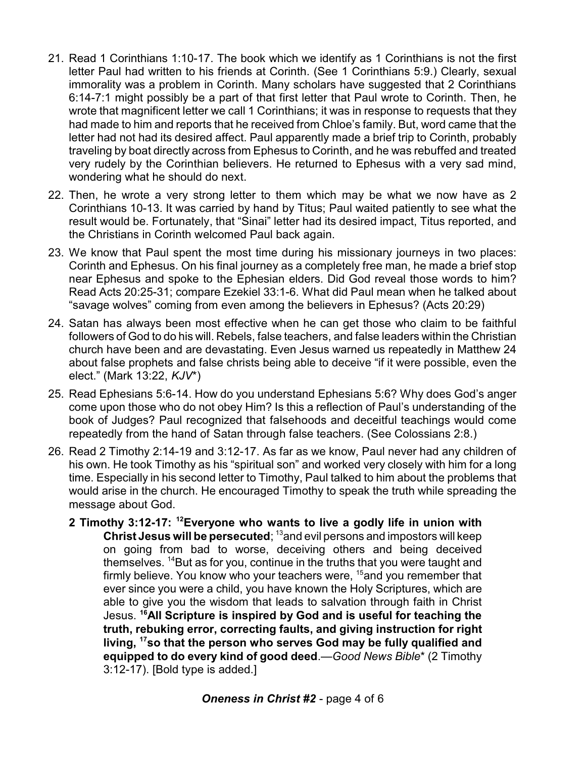- 21. Read 1 Corinthians 1:10-17. The book which we identify as 1 Corinthians is not the first letter Paul had written to his friends at Corinth. (See 1 Corinthians 5:9.) Clearly, sexual immorality was a problem in Corinth. Many scholars have suggested that 2 Corinthians 6:14-7:1 might possibly be a part of that first letter that Paul wrote to Corinth. Then, he wrote that magnificent letter we call 1 Corinthians; it was in response to requests that they had made to him and reports that he received from Chloe's family. But, word came that the letter had not had its desired affect. Paul apparently made a brief trip to Corinth, probably traveling by boat directly across from Ephesus to Corinth, and he was rebuffed and treated very rudely by the Corinthian believers. He returned to Ephesus with a very sad mind, wondering what he should do next.
- 22. Then, he wrote a very strong letter to them which may be what we now have as 2 Corinthians 10-13. It was carried by hand by Titus; Paul waited patiently to see what the result would be. Fortunately, that "Sinai" letter had its desired impact, Titus reported, and the Christians in Corinth welcomed Paul back again.
- 23. We know that Paul spent the most time during his missionary journeys in two places: Corinth and Ephesus. On his final journey as a completely free man, he made a brief stop near Ephesus and spoke to the Ephesian elders. Did God reveal those words to him? Read Acts 20:25-31; compare Ezekiel 33:1-6. What did Paul mean when he talked about "savage wolves" coming from even among the believers in Ephesus? (Acts 20:29)
- 24. Satan has always been most effective when he can get those who claim to be faithful followers of God to do his will. Rebels, false teachers, and false leaders within the Christian church have been and are devastating. Even Jesus warned us repeatedly in Matthew 24 about false prophets and false christs being able to deceive "if it were possible, even the elect." (Mark 13:22, *KJV*\*)
- 25. Read Ephesians 5:6-14. How do you understand Ephesians 5:6? Why does God's anger come upon those who do not obey Him? Is this a reflection of Paul's understanding of the book of Judges? Paul recognized that falsehoods and deceitful teachings would come repeatedly from the hand of Satan through false teachers. (See Colossians 2:8.)
- 26. Read 2 Timothy 2:14-19 and 3:12-17. As far as we know, Paul never had any children of his own. He took Timothy as his "spiritual son" and worked very closely with him for a long time. Especially in his second letter to Timothy, Paul talked to him about the problems that would arise in the church. He encouraged Timothy to speak the truth while spreading the message about God.
	- **2 Timothy 3:12-17: <sup>12</sup>Everyone who wants to live a godly life in union with Christ Jesus will be persecuted**; <sup>13</sup>and evil persons and impostors will keep on going from bad to worse, deceiving others and being deceived themselves. <sup>14</sup>But as for you, continue in the truths that you were taught and firmly believe. You know who your teachers were, <sup>15</sup>and you remember that ever since you were a child, you have known the Holy Scriptures, which are able to give you the wisdom that leads to salvation through faith in Christ Jesus. **<sup>16</sup>All Scripture is inspired by God and is useful for teaching the truth, rebuking error, correcting faults, and giving instruction for right living, <sup>17</sup> so that the person who serves God may be fully qualified and equipped to do every kind of good deed**.—*Good News Bible*\* (2 Timothy 3:12-17). [Bold type is added.]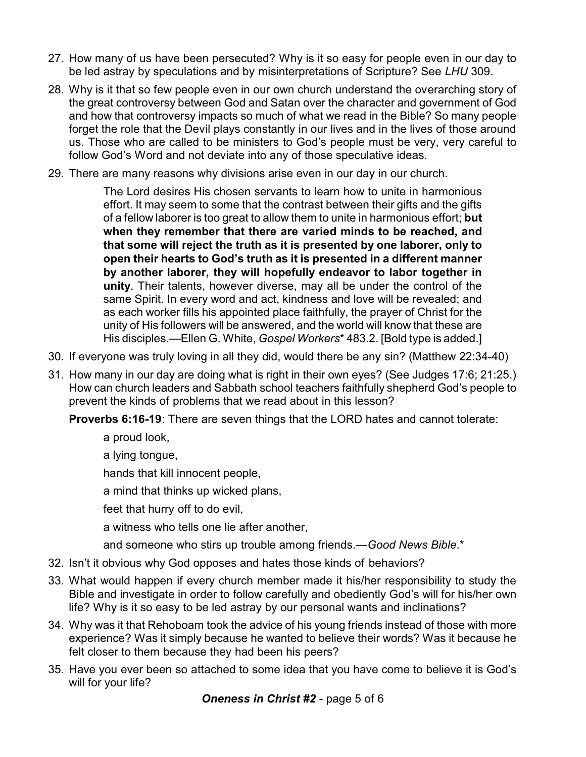- 27. How many of us have been persecuted? Why is it so easy for people even in our day to be led astray by speculations and by misinterpretations of Scripture? See *LHU* 309.
- 28. Why is it that so few people even in our own church understand the overarching story of the great controversy between God and Satan over the character and government of God and how that controversy impacts so much of what we read in the Bible? So many people forget the role that the Devil plays constantly in our lives and in the lives of those around us. Those who are called to be ministers to God's people must be very, very careful to follow God's Word and not deviate into any of those speculative ideas.
- 29. There are many reasons why divisions arise even in our day in our church.

The Lord desires His chosen servants to learn how to unite in harmonious effort. It may seem to some that the contrast between their gifts and the gifts of a fellow laborer is too great to allow them to unite in harmonious effort; **but when they remember that there are varied minds to be reached, and that some will reject the truth as it is presented by one laborer, only to open their hearts to God's truth as it is presented in a different manner by another laborer, they will hopefully endeavor to labor together in unity**. Their talents, however diverse, may all be under the control of the same Spirit. In every word and act, kindness and love will be revealed; and as each worker fills his appointed place faithfully, the prayer of Christ for the unity of His followers will be answered, and the world will know that these are His disciples.—Ellen G. White, *Gospel Workers*\* 483.2. [Bold type is added.]

- 30. If everyone was truly loving in all they did, would there be any sin? (Matthew 22:34-40)
- 31. How many in our day are doing what is right in their own eyes? (See Judges 17:6; 21:25.) How can church leaders and Sabbath school teachers faithfully shepherd God's people to prevent the kinds of problems that we read about in this lesson?

**Proverbs 6:16-19**: There are seven things that the LORD hates and cannot tolerate:

a proud look,

a lying tongue,

hands that kill innocent people,

a mind that thinks up wicked plans,

feet that hurry off to do evil,

a witness who tells one lie after another,

and someone who stirs up trouble among friends.—*Good News Bible*.\*

- 32. Isn't it obvious why God opposes and hates those kinds of behaviors?
- 33. What would happen if every church member made it his/her responsibility to study the Bible and investigate in order to follow carefully and obediently God's will for his/her own life? Why is it so easy to be led astray by our personal wants and inclinations?
- 34. Why was it that Rehoboam took the advice of his young friends instead of those with more experience? Was it simply because he wanted to believe their words? Was it because he felt closer to them because they had been his peers?
- 35. Have you ever been so attached to some idea that you have come to believe it is God's will for your life?